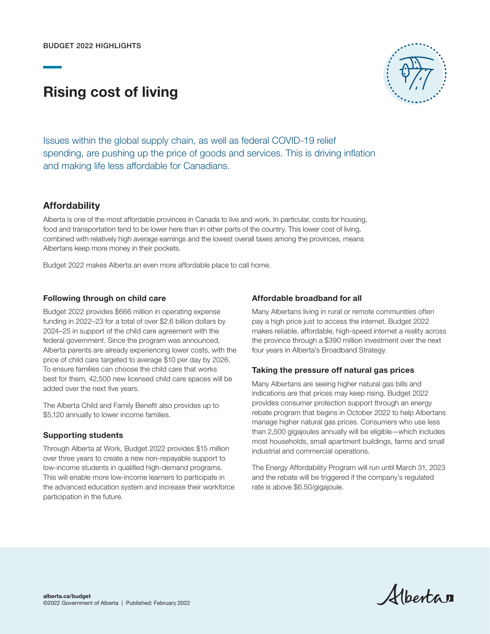# Rising cost of living



Issues within the global supply chain, as well as federal COVID-19 relief spending, are pushing up the price of goods and services. This is driving inflation and making life less affordable for Canadians.

## **Affordability**

Alberta is one of the most affordable provinces in Canada to live and work. In particular, costs for housing, food and transportation tend to be lower here than in other parts of the country. This lower cost of living, combined with relatively high average earnings and the lowest overall taxes among the provinces, means Albertans keep more money in their pockets.

Budget 2022 makes Alberta an even more affordable place to call home.

## Following through on child care

Budget 2022 provides \$666 million in operating expense funding in 2022–23 for a total of over \$2.6 billion dollars by 2024–25 in support of the child care agreement with the federal government. Since the program was announced, Alberta parents are already experiencing lower costs, with the price of child care targeted to average \$10 per day by 2026. To ensure families can choose the child care that works best for them, 42,500 new licensed child care spaces will be added over the next five years.

The Alberta Child and Family Benefit also provides up to \$5,120 annually to lower income families.

## Supporting students

Through Alberta at Work, Budget 2022 provides \$15 million over three years to create a new non-repayable support to low-income students in qualified high-demand programs. This will enable more low-income learners to participate in the advanced education system and increase their workforce participation in the future.

## Affordable broadband for all

Many Albertans living in rural or remote communities often pay a high price just to access the internet. Budget 2022 makes reliable, affordable, high-speed internet a reality across the province through a \$390 million investment over the next four years in Alberta's Broadband Strategy.

## Taking the pressure off natural gas prices

Many Albertans are seeing higher natural gas bills and indications are that prices may keep rising. Budget 2022 provides consumer protection support through an energy rebate program that begins in October 2022 to help Albertans manage higher natural gas prices. Consumers who use less than 2,500 gigajoules annually will be eligible—which includes most households, small apartment buildings, farms and small industrial and commercial operations.

The Energy Affordability Program will run until March 31, 2023 and the rebate will be triggered if the company's regulated rate is above \$6.50/gigajoule.

Albertan